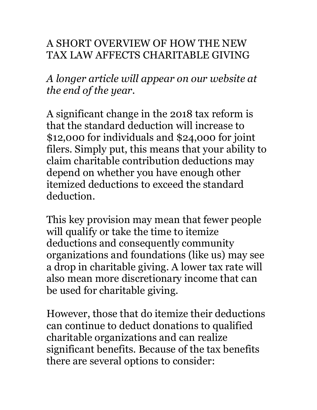## A SHORT OVERVIEW OF HOW THE NEW TAX LAW AFFECTS CHARITABLE GIVING

*A longer article will appear on our website at the end of the year.*

A significant change in the 2018 tax reform is that the standard deduction will increase to \$12,000 for individuals and \$24,000 for joint filers. Simply put, this means that your ability to claim charitable contribution deductions may depend on whether you have enough other itemized deductions to exceed the standard deduction.

This key provision may mean that fewer people will qualify or take the time to itemize deductions and consequently community organizations and foundations (like us) may see a drop in charitable giving. A lower tax rate will also mean more discretionary income that can be used for charitable giving.

However, those that do itemize their deductions can continue to deduct donations to qualified charitable organizations and can realize significant benefits. Because of the tax benefits there are several options to consider: